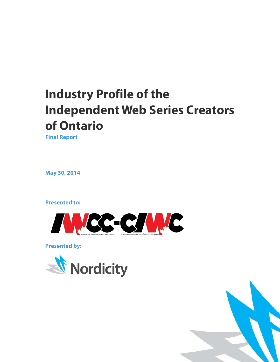# **Industry Profile of the Independent Web Series Creators of Ontario**

**Final Report**

**May 30, 2014**

**Presented to:**



**Presented by:**



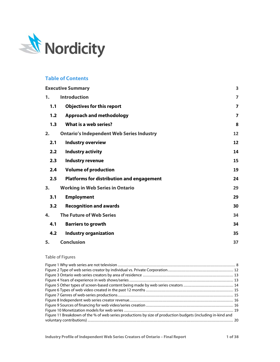

# **Table of Contents**

|                  | <b>Executive Summary</b>                         | 3                       |
|------------------|--------------------------------------------------|-------------------------|
| 1.               | <b>Introduction</b>                              | $\overline{7}$          |
| 1.1              | <b>Objectives for this report</b>                | $\overline{\mathbf{z}}$ |
| 1,2              | <b>Approach and methodology</b>                  | $\overline{\mathbf{z}}$ |
| 1.3              | What is a web series?                            | 8                       |
| 2.               | <b>Ontario's Independent Web Series Industry</b> | 12                      |
| 2.1              | <b>Industry overview</b>                         | 12                      |
| 2.2 <sub>2</sub> | <b>Industry activity</b>                         | 14                      |
| 2.3              | <b>Industry revenue</b>                          | 15                      |
| 2.4              | <b>Volume of production</b>                      | 19                      |
| 2.5              | <b>Platforms for distribution and engagement</b> | 24                      |
| 3.               | <b>Working in Web Series in Ontario</b>          | 29                      |
| 3.1              | <b>Employment</b>                                | 29                      |
| 3.2              | <b>Recognition and awards</b>                    | 30                      |
| 4.               | <b>The Future of Web Series</b>                  | 34                      |
| 4.1              | <b>Barriers to growth</b>                        | 34                      |
| 4.2              | <b>Industry organization</b>                     | 35                      |
| 5.               | <b>Conclusion</b>                                | 37                      |

### Table of Figures

| Figure 11 Breakdown of the % of web series productions by size of production budgets (including in-kind and |  |
|-------------------------------------------------------------------------------------------------------------|--|
|                                                                                                             |  |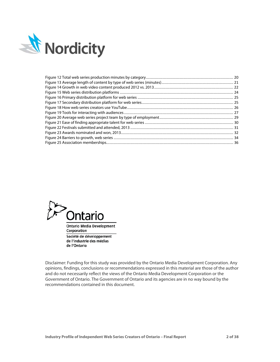



Corporation Société de développement de l'industrie des médias de l'Ontario

Disclaimer: Funding for this study was provided by the Ontario Media Development Corporation. Any opinions, findings, conclusions or recommendations expressed in this material are those of the author and do not necessarily reflect the views of the Ontario Media Development Corporation or the Government of Ontario. The Government of Ontario and its agencies are in no way bound by the recommendations contained in this document.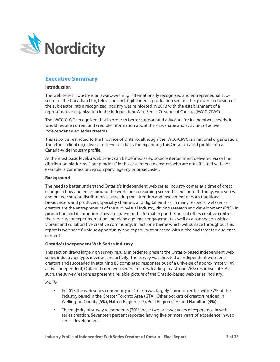

# <span id="page-3-0"></span>**Executive Summary**

### **Introduction**

The web series industry is an award-winning, internationally recognized and entrepreneurial subsector of the Canadian film, television and digital media production sector. The growing cohesion of the sub-sector into a recognized industry was reinforced in 2013 with the establishment of a representative organization in the Independent Web Series Creators of Canada (IWCC-CIWC).

The IWCC-CIWC recognized that in order to better support and advocate for its members' needs, it would require current and credible information about the size, shape and activities of active independent web series creators.

This report is restricted to the Province of Ontario, although the IWCC-CIWC is a national organization. Therefore, a final objective is to serve as a basis for expanding this Ontario-based profile into a Canada-wide industry profile.

At the most basic level, a web series can be defined as episodic entertainment delivered via online distribution platforms. "Independent" in this case refers to creators who are not affiliated with, for example, a commissioning company, agency or broadcaster.

### **Background**

The need to better understand Ontario's independent web series industry comes at a time of great change in how audiences around the world are consuming screen-based content. Today, web series and online content distribution is attracting the attention and investment of both traditional broadcasters and producers, specialty channels and digital entities. In many respects, web series creators are the entrepreneurs of the audiovisual industry, driving research and development (R&D) in production and distribution. They are drawn to the format in part because it offers creative control, the capacity for experimentation and niche audience engagement as well as a connection with a vibrant and collaborative creative community. In fact, one theme which will surface throughout this report is web series' unique opportunity and capability to succeed with niche and targeted audience content.

### **Ontario's Independent Web Series Industry**

This section draws largely on survey results in order to present the Ontario-based independent web series industry by type, revenue and activity. The survey was directed at independent web series creators and succeeded in attaining 83 completed responses out of a universe of approximately 109 active independent, Ontario-based web series creators, leading to a strong 76% response rate. As such, the survey responses present a reliable picture of the Ontario-based web series industry.

### *Profile*

- In 2013 the web series community in Ontario was largely Toronto-centric with 77% of the industry based in the Greater Toronto Area (GTA). Other pockets of creators resided in Wellington County (5%), Halton Region (4%), Peel Region (4%) and Hamilton (4%).
- The majority of survey respondents (70%) have two or fewer years of experience in web series creation. Seventeen percent reported having five or more years of experience in web series development.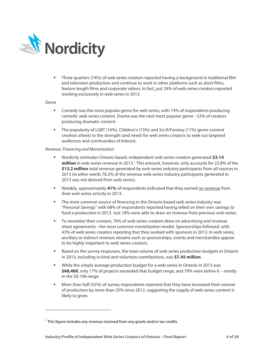

 Three quarters (74%) of web series creators reported having a background in traditional film and television production and continue to work in other platforms such as short films, feature length films and corporate videos. In fact, just 24% of web series creators reported working exclusively in web series in 2013.

### *Genre*

l

- Comedy was the most popular genre for web series, with 74% of respondents producing comedic web series content. Drama was the next most popular genre - 52% of creators producing dramatic content.
- The popularity of LGBT (16%), Children's (15%) and Sci-fi/Fantasy (11%) genre content creation attests to the strength (and need) for web series creators to seek out targeted audiences and communities of interest.

### *Revenue, Financing and Monetization*

- Nordicity estimates Ontario-based, independent web series creators generated **\$3.14 million** in web series revenue in 2013.<sup>1</sup> This amount, however, only accounts for 23.8% of the **\$13.2 million** total revenue generated by web series industry participants from all sources in 2013 (in other words 76.2% of the revenue web series industry participants generated in 2013 was not derived from web series).
- Notably, approximately **41%** of respondents indicated that they earned no revenue from their web series activity in 2013.
- **The most common source of financing in the Ontario-based web series industry was** "Personal Savings" with 68% of respondents reported having relied on their own savings to fund a production in 2013. Just 18% were able to draw on revenue from previous web series.
- To monetize their content, 70% of web series creators drew on advertising and revenue share agreements - the most common monetization model. Sponsorships followed, with 43% of web series creators reporting that they worked with sponsors in 2013. In web series, ancillary or indirect revenue streams such as sponsorships, events and merchandise appear to be highly important to web series creators.
- **Based on the survey responses, the total volume of web series production budgets in Ontario** in 2013, including in-kind and voluntary contributions, was **\$7.45 million**.
- While the simple average production budget for a web series in Ontario in 2013 was **\$68,400**, only 17% of projects exceeded that budget range, and 79% were below it – mostly in the \$0-10k range.
- More than half (55%) of survey respondents reported that they have increased their volume of production by more than 25% since 2012, suggesting the supply of web series content is likely to grow.

<span id="page-4-0"></span><sup>&</sup>lt;sup>1</sup> This figure includes any revenue received from any grants and/or tax credits.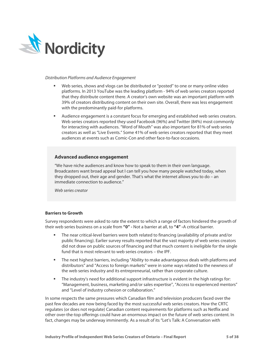

### *Distribution Platforms and Audience Engagement*

- Web series, shows and vlogs can be distributed or "posted" to one or many online video platforms. In 2013 YouTube was the leading platform - 94% of web series creators reported that they distribute content there. A creator's own website was an important platform with 39% of creators distributing content on their own site. Overall, there was less engagement with the predominantly paid-for platforms.
- Audience engagement is a constant focus for emerging and established web series creators. Web series creators reported they used Facebook (96%) and Twitter (84%) most commonly for interacting with audiences. "Word of Mouth" was also important for 81% of web series creators as well as "Live Events." Some 41% of web series creators reported that they meet audiences at events such as Comic-Con and other face-to-face occasions.

### **Advanced audience engagement**

"We have niche audiences and know how to speak to them in their own language. Broadcasters want broad appeal but I can tell you how many people watched today, when they dropped out, their age and gender. That's what the internet allows you to do – an immediate connection to audience."

*Web series creator*

### **Barriers to Growth**

Survey respondents were asked to rate the extent to which a range of factors hindered the growth of their web series business on a scale from **"0" -** Not a barrier at all, to **"4" -**A critical barrier.

- The near critical-level barriers were both related to financing (availability of private and/or public financing). Earlier survey results reported that the vast majority of web series creators did not draw on public sources of financing and that much content is ineligible for the single fund that is most relevant to web series creators – the IPF.
- The next highest barriers, including "Ability to make advantageous deals with platforms and distributors" and "Access to foreign markets" were in some ways related to the newness of the web series industry and its entrepreneurial, rather than corporate culture.
- The industry's need for additional support infrastructure is evident in the high ratings for: "Management, business, marketing and/or sales expertise", "Access to experienced mentors" and "Level of industry cohesion or collaboration."

In some respects the same pressures which Canadian film and television producers faced over the past few decades are now being faced by the most successful web series creators. How the CRTC regulates (or does not regulate) Canadian content requirements for platforms such as Netflix and other over-the-top offerings could have an enormous impact on the future of web series content. In fact, changes may be underway imminently. As a result of its "Let's Talk: A Conversation with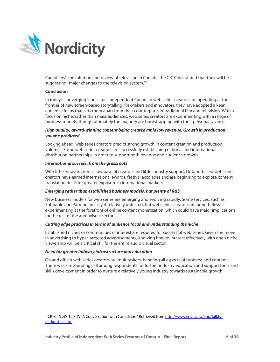

Canadians" consultation and review of television in Canada, the CRTC has stated that they will be suggesting "major changes to the television system."<sup>[2](#page-6-0)</sup>

### **Conclusion**

l

In today's converging landscape, independent Canadian web series creators are operating at the frontier of new screen-based storytelling. Risk-takers and innovators, they have adopted a keen audience focus that sets them apart from their counterparts in traditional film and television. With a focus on niche, rather than mass audiences, web series creators are experimenting with a range of business models, though ultimately the majority are bootstrapping with their personal savings.

### *High quality, award-winning content being created amid low revenue. Growth in production volume predicted.*

Looking ahead, web series creators predict strong growth in content creation and production volumes. Some web series creators are successfully establishing national and international distribution partnerships in order to support both revenue and audience growth.

### *International success, from the grassroots*

With little infrastructure, a low base of creators and little industry support, Ontario-based web series creators have earned international awards, festival accolades and are beginning to explore content translation deals for greater exposure in international markets.

### *Emerging rather than established business models, but plenty of R&D*

New business models for web series are emerging and evolving rapidly. Some services, such as Subbable and Patreon are as yet relatively untested, but web series creators are nonetheless experimenting at the forefront of online content monetization, which could have major implications for the rest of the audiovisual sector.

### *Cutting edge practices in terms of audience focus and understanding the niche*

Established niches or communities of interest are required for successful web series. Given the move in advertising to hyper-targeted advertisements, knowing how to interact effectively with one's niche viewership will be a critical still for the entire audio visual sector.

### *Need for greater industry infrastructure and education*

On and off-set web series creators are multitaskers, handling all aspects of business and content. There was a resounding call among respondents for further industry education and support tools and skills development in order to nurture a relatively young industry towards sustainable growth.

<span id="page-6-0"></span><sup>&</sup>lt;sup>2</sup> CRTC, "Let's Talk TV: A Conversation with Canadians." Retrieved fro[m http://www.crtc.gc.ca/eng/talktv](http://www.crtc.gc.ca/eng/talktv-parlonstele.htm)[parlonstele.htm](http://www.crtc.gc.ca/eng/talktv-parlonstele.htm)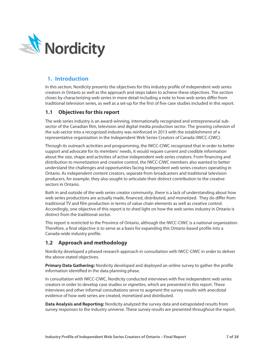

# <span id="page-7-0"></span>**1. Introduction**

In this section, Nordicity presents the objectives for this industry profile of independent web series creators in Ontario as well as the approach and steps taken to achieve these objectives. The section closes by characterizing web series in more detail including a note to how web series differ from traditional television series, as well as a set-up for the first of five case studies included in this report.

### <span id="page-7-1"></span>**1.1 Objectives for this report**

The web series industry is an award-winning, internationally recognized and entrepreneurial subsector of the Canadian film, television and digital media production sector. The growing cohesion of the sub-sector into a recognized industry was reinforced in 2013 with the establishment of a representative organization in the Independent Web Series Creators of Canada (IWCC-CIWC).

Through its outreach activities and programming, the IWCC-CIWC recognized that in order to better support and advocate for its members' needs, it would require current and credible information about the size, shape and activities of active independent web series creators. From financing and distribution to monetization and creative control, the IWCC-CIWC members also wanted to better understand the challenges and opportunities facing independent web series creators operating in Ontario. As independent content creators, separate from broadcasters and traditional television producers, for example, they also sought to articulate their distinct contribution to the creative sectors in Ontario.

Both in and outside of the web series creator community, there is a lack of understanding about how web series productions are actually made, financed, distributed, and monetized. They do differ from traditional TV and film production in terms of value chain elements as well as creative control. Accordingly, one objective of this report is to shed light on how the web series industry in Ontario is distinct from the traditional sector.

This report is restricted to the Province of Ontario, although the IWCC-CIWC is a national organization. Therefore, a final objective is to serve as a basis for expanding this Ontario-based profile into a Canada-wide industry profile.

# <span id="page-7-2"></span>**1.2 Approach and methodology**

Nordicity developed a phased research approach in consultation with IWCC-CIWC in order to deliver the above-stated objectives.

**Primary Data Gathering:** Nordicity developed and deployed an online survey to gather the profile information identified in the data planning phase.

In consultation with IWCC-CIWC, Nordicity conducted interviews with five independent web series creators in order to develop case studies or vignettes, which are presented in this report. These interviews and other informal consultations serve to augment the survey results with anecdotal evidence of how web series are created, monetized and distributed.

**Data Analysis and Reporting:** Nordicity analyzed the survey data and extrapolated results from survey responses to the industry universe. These survey results are presented throughout the report.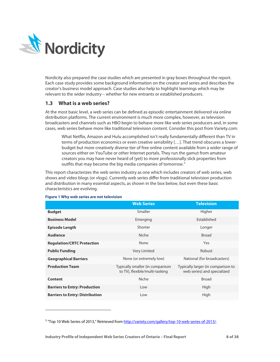

Nordicity also prepared the case studies which are presented in gray boxes throughout the report. Each case study provides some background information on the creator and series and describes the creator's business model approach. Case studies also help to highlight learnings which may be relevant to the wider industry – whether for new entrants or established producers.

### <span id="page-8-0"></span>**1.3 What is a web series?**

At the most basic level, a web series can be defined as episodic entertainment delivered via online distribution platforms. The current environment is much more complex, however, as television broadcasters and channels such as HBO begin to behave more like web series producers and, in some cases, web series behave more like traditional television content. Consider this post from Variety.com:

What Netflix, Amazon and Hulu accomplished isn't really fundamentally different than TV in terms of production economics or even creative sensibility […]. That trend obscures a lowerbudget but more creatively diverse tier of free online content available from a wider range of sources either on YouTube or other Internet portals. They run the gamut from amateur creators you may have never heard of (yet) to more professionally slick properties from outfits that may become the big media companies of tomorrow.[3](#page-8-2)

This report characterizes the web series industry as one which includes creators of web series, web shows and video blogs (or vlogs). Currently web series differ from traditional television production and distribution in many essential aspects, as shown in the box below, but even these basic characteristics are evolving.

|                                        | <b>Web Series</b>                                                  | <b>Television</b>                                                 |
|----------------------------------------|--------------------------------------------------------------------|-------------------------------------------------------------------|
| <b>Budget</b>                          | Smaller                                                            | Higher                                                            |
| <b>Business Model</b>                  | Emerging                                                           | Established                                                       |
| <b>Episode Length</b>                  | Shorter                                                            | Longer                                                            |
| <b>Audience</b>                        | Niche                                                              | <b>Broad</b>                                                      |
| <b>Regulation/CRTC Protection</b>      | None                                                               | Yes                                                               |
| <b>Public Funding</b>                  | <b>Very Limited</b>                                                | Robust                                                            |
| <b>Geographical Barriers</b>           | None (or extremely low)                                            | National (for broadcasters)                                       |
| <b>Production Team</b>                 | Typically smaller (in comparison<br>to TV), flexible/multi-tasking | Typically larger (in comparison to<br>web series) and specialized |
| Content                                | Niche                                                              | <b>Broad</b>                                                      |
| <b>Barriers to Entry: Production</b>   | Low                                                                | High                                                              |
| <b>Barriers to Entry: Distribution</b> | Low                                                                | High                                                              |

### <span id="page-8-1"></span>**Figure 1 Why web series are not television**

l

<span id="page-8-2"></span><sup>&</sup>lt;sup>3</sup> "Top 10 Web Series of 2013," Retrieved fro[m http://variety.com/gallery/top-10-web-series-of-2013/.](http://variety.com/gallery/top-10-web-series-of-2013/)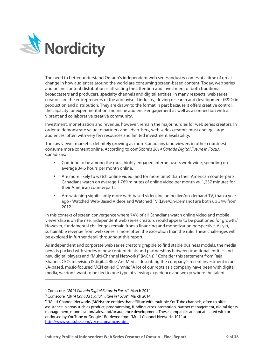

The need to better understand Ontario's independent web series industry comes at a time of great change in how audiences around the world are consuming screen-based content. Today, web series and online content distribution is attracting the attention and investment of both traditional broadcasters and producers, specialty channels and digital entities. In many respects, web series creators are the entrepreneurs of the audiovisual industry, driving research and development (R&D) in production and distribution. They are drawn to the format in part because it offers creative control, the capacity for experimentation and niche audience engagement as well as a connection with a vibrant and collaborative creative community.

Investment, monetization and revenue, however, remain the major hurdles for web series creators. In order to demonstrate value to partners and advertisers, web series creators must engage large audiences, often with very few resources and limited investment availability.

The raw viewer market is definitely growing as more Canadians (and viewers in other countries) consume more content online. According to comScore's *2014 Canada Digital Future in Focus*, Canadians:

- Continue to be among the most highly engaged internet users worldwide, spending on average 34.6 hours per month online.
- Are more likely to watch online video (and for more time) than their American counterparts. Canadians watch on average 1,769 minutes of online video per month vs. 1,237 minutes for their American counterparts.
- Are watching significantly more web-based video, including live/on-demand TV, than a year ago - Watched Web-Based Videos and Watched TV (Live/On-Demand) are both up 34% from 2012. [4](#page-9-0)

In this context of screen convergence where 74% of all Canadians watch online video and mobile viewership is on the rise, independent web series creators would appear to be positioned for growth.<sup>[5](#page-9-1)</sup> However, fundamental challenges remain from a financing and monetization perspective. As yet, sustainable revenue from web series is more often the exception than the rule. These challenges will be explored in further detail throughout this report.

As independent and corporate web series creators grapple to find stable business models, the media news is packed with stories of new content deals and partnerships between traditional entities and new digital players and "Multi-Channel Networks" (MCNs).<sup>[6](#page-9-2)</sup> Consider this statement from Raja Khanna, CEO, television & digital, Blue Ant Media, describing the company's recent investment in an LA-based, music-focused MCN called Omnia: "A lot of our roots as a company have been with digital media, we don't want to be tied to one type of viewing experience and we go where the talent

 $\overline{\phantom{a}}$ 

<span id="page-9-1"></span><span id="page-9-0"></span><sup>4</sup> Comscore, "*2014 Canada Digital Future in Focus*", March 2014.

<sup>5</sup> Comscore, "*2014 Canada Digital Future in Focus*", March 2014.

<span id="page-9-2"></span><sup>6</sup> "Multi-Channel Networks (MCNs) are entities that affiliate with multiple YouTube channels, often to offer assistance in areas such as product, programming, funding, cross-promotion, partner management, digital rights management, monetization/sales, and/or audience development. These companies are not affiliated with or endorsed by YouTube or Google." Retrieved from "Multi-Channel Networks 101" at <http://www.youtube.com/yt/creators/mcns.html>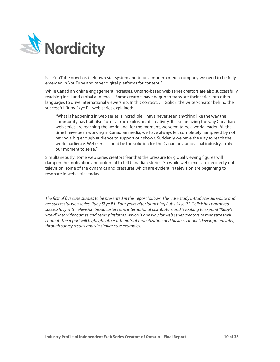

is…YouTube now has their own star system and to be a modern media company we need to be fully emerged in YouTube and other digital platforms for content."

While Canadian online engagement increases, Ontario-based web series creators are also successfully reaching local and global audiences. Some creators have begun to translate their series into other languages to drive international viewership. In this context, Jill Golick, the writer/creator behind the successful Ruby Skye P.I. web series explained:

"What is happening in web series is incredible. I have never seen anything like the way the community has built itself up – a true explosion of creativity. It is so amazing the way Canadian web series are reaching the world and, for the moment, we seem to be a world leader. All the time I have been working in Canadian media, we have always felt completely hampered by not having a big enough audience to support our shows. Suddenly we have the way to reach the world audience. Web series could be the solution for the Canadian audiovisual industry. Truly our moment to seize."

Simultaneously, some web series creators fear that the pressure for global viewing figures will dampen the motivation and potential to tell Canadian stories. So while web series are decidedly not television, some of the dynamics and pressures which are evident in television are beginning to resonate in web series today.

*The first of five case studies to be presented in this report follows. This case study introduces Jill Golick and her successful web series, Ruby Skye P.I. Four years after launching Ruby Skye P.I. Golick has partnered successfully with television broadcasters and international distributors and is looking to expand "Ruby's world" into videogames and other platforms, which is one way for web series creatorsto monetize their content. The report will highlight other attempts at monetization and business model development later, through survey results and via similar case examples.*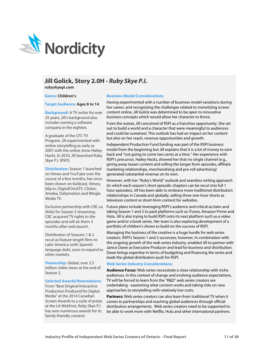

# **Jill Golick, Story 2.0H -** *Ruby Skye P.I.*

**rubyskyepi.com**

**Genre: Children's**

### **Target Audience: Ages 8 to 14**

**Background:** A TV writer for over 25 years, Jill's background also includes owning a software company in the eighties.

A graduate of the CFC TV Program, Jill experimented with online storytelling as early as 2007 with the online show Hailey Hacks. In 2010, Jill launched Ruby Skye P.I. (RSPI).

**Distribution:** Season 1 launched on Vimeo and YouTube over the course of a few months, has since been shown on Koldcast, Vimeo, blip.tv, DigitalChickTV, Clicker, Ameba, Dailymotion and Mingle Media TV.

Exclusive partnership with CBC.ca (Kids) for Season 3 streaming; CBC acquired TV rights to the episodes and will air them 3 months after web launch.

Distribution of Seasons 1 & 2 recut as feature length films to Latin America (with Spanish language dub), soon to expand to other markets.

**Viewership:** Global, over 2.5 million video views at the end of Season 2.

### **Selected Awards/Nominations:**

From "Best Original Interactive Production Produced for Digital Media" at the 2014 Canadian Screen Awards to a suite of prizes at the LA WebFest, Ruby Skye P.I. has won numerous awards for its family-friendly content.

#### **Business Model Considerations**

Having experimented with a number of business model variations during her career, and recognizing the challenges related to monetizing screen content online, Jill Golick was determined to be open to innovative business concepts which would allow her character to thrive.

From the outset, Jill conceived of RSPI as a franchise opportunity. She set out to build a world and a character that were meaningful to audiences and could be sustained. This outlook has had an impact on her content but also on her reach, revenue opportunities and growth.

Independent Production Fund funding was part of the RSPI business model from the beginning but Jill explains that it is a lot of money to earn back and "not going to come two cents at a time." Her experience with RSPI's precursor, Hailey Hacks, showed her that no single channel (e.g., giving away teaser content and selling the longer form episodes, affiliate marketing relationships, merchandising and pre-roll advertising) generated substantial revenue on its own.

However, with her "Ruby's World" outlook and seamless writing approach (in which each season's short episodic chapters can be recut into full 1 hour episodes), Jill has been able to embrace more traditional distribution relationships in Canada and globally, selling three one-hour shorts as television content or short-form content for websites.

Future plans include leveraging RSPI's audience and critical acclaim and taking Season 1 and 2 to paid platforms such as iTunes, Amazon Prime and Hulu. Jill is also trying to build RSPI onto its next platform such as a video game and/or a book series. Her team is also exploring development of a portfolio of children's shows to build on the success of RSPI.

Managing the business of the creative is a huge hurdle for web series creators. RSPI's Season 1 and 2 successes, however, in combination with the ongoing growth of the web series industry, enabled Jill to partner with Janice Dawe as Executive Producer and lead for business and distribution. Dawe brings expertise in terms of budgeting and financing the series and leads the global distribution push for RSPI.

### **Web Series Industry Considerations:**

**Audience Focus:** Web series necessitate a close relationship with niche audiences. In this context of change and evolving audience expectations, TV will be forced to learn from the "R&D" web series creators are undertaking - examining what content works and taking risks on new approaches to storytelling with relatively low costs.

**Partners:** Web series creators can also learn from traditional TV when it comes to partnerships and reaching global audiences through official distribution arrangements. Web series creators need to be supported to be able to work more with Netflix, Hulu and other international partners.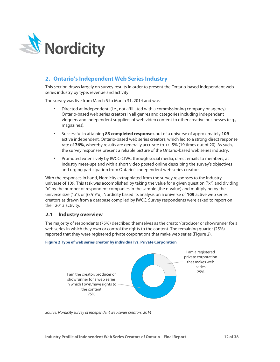

# <span id="page-12-0"></span>**2. Ontario's Independent Web Series Industry**

This section draws largely on survey results in order to present the Ontario-based independent web series industry by type, revenue and activity.

The survey was live from March 5 to March 31, 2014 and was:

- Directed at independent, (i.e., not affiliated with a commissioning company or agency) Ontario-based web series creators in all genres and categories including independent vloggers and independent suppliers of web video content to other creative businesses (e.g., magazines).
- Successful in attaining **83 completed responses** out of a universe of approximately **109** active independent, Ontario-based web series creators, which led to a strong direct response rate of **76%**, whereby results are generally accurate to +/- 5% (19 times out of 20). As such, the survey responses present a reliable picture of the Ontario-based web series industry.
- Promoted extensively by IWCC-CIWC through social media, direct emails to members, at industry meet-ups and with a short video posted online describing the survey's objectives and urging participation from Ontario's independent web series creators.

With the responses in hand, Nordicity extrapolated from the survey responses to the industry universe of 109. This task was accomplished by taking the value for a given question ("x") and dividing "x" by the number of respondent companies in the sample (the n-value) and multiplying by the universe size ("u"), or [(x/n)\*u]. Nordicity based its analysis on a universe of **109** active web series creators as drawn from a database compiled by IWCC. Survey respondents were asked to report on their 2013 activity.

# <span id="page-12-1"></span>**2.1 Industry overview**

The majority of respondents (75%) described themselves as the creator/producer or showrunner for a web series in which they own or control the rights to the content. The remaining quarter (25%) reported that they were registered private corporations that make web series (Figure 2).



### <span id="page-12-2"></span>**Figure 2 Type of web series creator by individual vs. Private Corporation**

*Source: Nordicity survey of independent web series creators, 2014*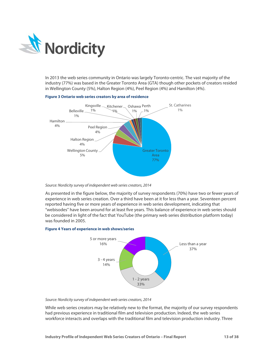

In 2013 the web series community in Ontario was largely Toronto-centric. The vast majority of the industry (77%) was based in the Greater Toronto Area (GTA) though other pockets of creators resided in Wellington County (5%), Halton Region (4%), Peel Region (4%) and Hamilton (4%).



### <span id="page-13-0"></span>**Figure 3 Ontario web series creators by area of residence**

### *Source: Nordicity survey of independent web series creators, 2014*

As presented in the figure below, the majority of survey respondents (70%) have two or fewer years of experience in web series creation. Over a third have been at it for less than a year. Seventeen percent reported having five or more years of experience in web series development, indicating that "webisodes" have been around for at least five years. This balance of experience in web series should be considered in light of the fact that YouTube (the primary web series distribution platform today) was founded in 2005.

### <span id="page-13-1"></span>**Figure 4 Years of experience in web shows/series**



### *Source: Nordicity survey of independent web series creators, 2014*

While web series creators may be relatively new to the format, the majority of our survey respondents had previous experience in traditional film and television production. Indeed, the web series workforce interacts and overlaps with the traditional film and television production industry. Three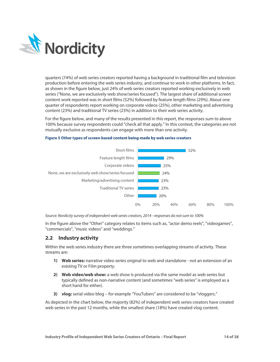

quarters (74%) of web series creators reported having a background in traditional film and television production before entering the web series industry, and continue to work in other platforms. In fact, as shown in the figure below, just 24% of web series creators reported working exclusively in web series ("None, we are exclusively web show/series focused"). The largest share of additional screen content work reported was in short films (52%) followed by feature length films (29%). About one quarter of respondents report working on corporate videos (25%), other marketing and advertising content (23%) and traditional TV series (23%) in addition to their web series activity.

For the figure below, and many of the results presented in this report, the responses sum to above 100% because survey respondents could "check all that apply." In this context, the categories are not mutually exclusive as respondents can engage with more than one activity.



### <span id="page-14-1"></span>**Figure 5 Other types of screen-based content being made by web series creators**

*Source: Nordicity survey of independent web series creators, 2014 - responses do not sum to 100%*

In the figure above the "Other" category relates to items such as, "actor demo reels", "videogames", "commercials", "music videos" and "weddings."

### <span id="page-14-0"></span>**2.2 Industry activity**

Within the web series industry there are three sometimes overlapping streams of activity. These streams are:

- **1) Web series:** narrative video series original to web and standalone not an extension of an existing TV or Film property.
- **2) Web video/web show:** a web show is produced via the same model as web series but typically defined as non-narrative content (and sometimes "web series" is employed as a short hand for either).
- **3) vlog:** serial video blog for example "YouTubers" are considered to be "vloggers."

As depicted in the chart below, the majority (82%) of independent web series creators have created web series in the past 12 months, while the smallest share (18%) have created vlog content.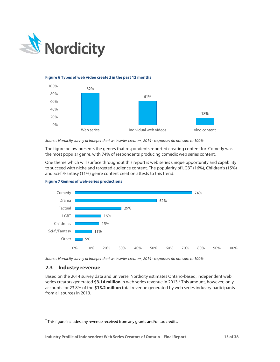

### <span id="page-15-1"></span>**Figure 6 Types of web video created in the past 12 months**



*Source: Nordicity survey of independent web series creators, 2014 - responses do not sum to 100%*

The figure below presents the genres that respondents reported creating content for. Comedy was the most popular genre, with 74% of respondents producing comedic web series content.

One theme which will surface throughout this report is web series unique opportunity and capability to succeed with niche and targeted audience content. The popularity of LGBT (16%), Children's (15%) and Sci-fi/Fantasy (11%) genre content creation attests to this trend.



<span id="page-15-2"></span>

*Source: Nordicity survey of independent web series creators, 2014 - responses do not sum to 100%*

### <span id="page-15-0"></span>**2.3 Industry revenue**

l

Based on the 2014 survey data and universe, Nordicity estimates Ontario-based, independent web series creators generated **\$3.14 million** in web series revenue in 2013.[7](#page-15-3) This amount, however, only accounts for 23.8% of the **\$13.2 million** total revenue generated by web series industry participants from all sources in 2013.

<span id="page-15-3"></span> $7$  This figure includes any revenue received from any grants and/or tax credits.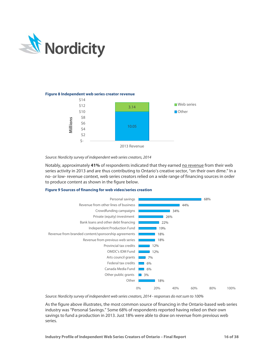

### <span id="page-16-0"></span>**Figure 8 Independent web series creator revenue**



### *Source: Nordicity survey of independent web series creators, 2014*

Notably, approximately **41%** of respondents indicated that they earned no revenue from their web series activity in 2013 and are thus contributing to Ontario's creative sector, "on their own dime." In a no- or low- revenue context, web series creators relied on a wide range of financing sources in order to produce content as shown in the figure below.

### <span id="page-16-1"></span>**Figure 9 Sources of financing for web video/series creation**



*Source: Nordicity survey of independent web series creators, 2014 - responses do not sum to 100%*

As the figure above illustrates, the most common source of financing in the Ontario-based web series industry was "Personal Savings." Some 68% of respondents reported having relied on their own savings to fund a production in 2013. Just 18% were able to draw on revenue from previous web series.

**Industry Profile of Independent Web Series Creators of Ontario – Final Report 16 of 38**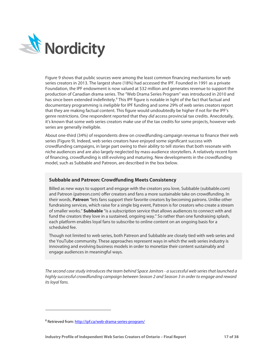

Figure 9 shows that public sources were among the least common financing mechanisms for web series creators in 2013. The largest share (18%) had accessed the IPF. Founded in 1991 as a private Foundation, the IPF endowment is now valued at \$32 million and generates revenue to support the production of Canadian drama series. The "Web Drama Series Program" was introduced in 2010 and has since been extended indefinitely.<sup>[8](#page-17-0)</sup> This IPF figure is notable in light of the fact that factual and documentary programming is *ineligible* for IPF funding and some 29% of web series creators report that they are making factual content. This figure would undoubtedly be higher if not for the IPF's genre restrictions. One respondent reported that they *did* access provincial tax credits. Anecdotally, it's known that some web series creators make use of the tax credits for some projects, however web series are generally ineligible.

About one-third (34%) of respondents drew on crowdfunding campaign revenue to finance their web series (Figure 9). Indeed, web series creators have enjoyed some significant success with crowdfunding campaigns, in large part owing to their ability to tell stories that both resonate with niche audiences and are also largely neglected by mass-audience storytellers. A relatively recent form of financing, crowdfunding is still evolving and maturing. New developments in the crowdfunding model, such as Subbable and Patreon, are described in the box below.

### **Subbable and Patreon: Crowdfunding Meets Consistency**

Billed as new ways to support and engage with the creators you love, Subbable (subbable.com) and Patreon (patreon.com) offer creators and fans a more sustainable take on crowdfunding. In their words, **Patreon** "lets fans support their favorite creators by becoming patrons. Unlike other fundraising services, which raise for a single big event, Patreon is for creators who create a stream of smaller works." **Subbable** "is a subscription service that allows audiences to connect with and fund the creators they love in a sustained, ongoing way." So rather than one fundraising splash, each platform enables loyal fans to subscribe to online content on an ongoing basis for a scheduled fee.

Though not limited to web series, both Patreon and Subbable are closely tied with web series and the YouTube community. These approaches represent ways in which the web series industry is innovating and evolving business models in order to monetize their content sustainably and engage audiences in meaningful ways.

*The second case study introduces the team behind Space Janitors - a successful web series that launched a highly successful crowdfunding campaign between Season 2 and Season 3 in order to engage and reward its loyal fans.*

l

<span id="page-17-0"></span><sup>8</sup> Retrieved from[: http://ipf.ca/web-drama-series-program/](http://ipf.ca/web-drama-series-program/)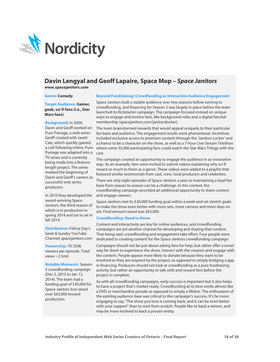

# **Davin Lengyal and Geoff Lapaire, Space Mop –** *Space Janitors*

**www.spacejanitors.com**

#### **Genre: Comedy**

### **Target Audience: Gamer, geek, sci-fi fans (i.e., Star Wars fans)**

**Background:** In 2004, Davin and Geoff worked on Pure Pwnage, a web series Geoff created with Jarett Cale, which quickly gained a cult following online. Pure Pwnage was adapted into a TV series and is currently being made into a featurelength project. The series marked the beginning of Davin and Geoff's careers as successful web series producers.

In 2010 they developed the award-winning Space Janitors, the third season of which is in production in spring 2014 and set to air in fall 2014.

**Distribution: Felicia Day's** Geek & Sundry YouTube Channel; spacejanitors.com

**Viewership:** 70-250k viewers per episode. Total views ~2.5mil

**Notable Moments:** Season 3 crowdfunding campaign (Dec 3, 2013 to Jan 12, 2014). The team had a funding goal of \$30,000 for Space Janitors but raised over \$63,000 toward production.

### **Beyond Fundraising: Crowdfunding as Interactive Audience Engagement**

Space Janitors built a sizable audience over two seasons before turning to crowdfunding, and financing for Season 3 was largely in place before the team launched its Kickstarter campaign. The campaign focused instead on unique ways to engage and involve fans, like background roles and a digital fanclub membership (spacejanitors.com/janitorslocker).

The team brainstormed rewards that would appeal uniquely to their particular fan base and audience. The engagement results were phenomenal. Incentives included exclusive access to premium content through the 'Janitors Locker' and a chance to be a character on the show, as well as a 7-hour Live Stream Telethon where some 35,000 participating fans could watch the Star Wars Trilogy with the cast.

The campaign created an opportunity to engage the audience in an innovative way. As an example, fans were invited to submit videos explaining why sci-fi meant so much to them as a genre. These videos were added to a playlist that featured similar testimonials from cast, crew, local producers and celebrities.

There are only eight episodes of Space Janitors a year so maintaining a loyal fan base from season to season can be a challenge. In this context, the crowdfunding campaign provided an additional opportunity to share content and engage viewers.

Space Janitors met its \$30,000 funding goal within a week and set stretch goals to make the show even better with more sets, more cameos and more days on set. Final amount raised was \$63,000.

### **Crowdfunding: Need to Know**

Content and interactivity are key for online audiences, and crowdfunding campaigns are yet another channel for developing and sharing that content. That being said, crowdfunding and engagement take effort. Four people were dedicated to creating content for the Space Janitors crowdfunding campaign.

Campaigns should not be just about asking fans for help, but rather offer a novel way for them to experience the show, interact with the creators and engage with the content. People appear more likely to donate because they want to be involved or they are inspired by the project, as opposed to simply bridging a gap in financing. Producers should not look at crowdfunding as a pure fundraising activity, but rather an opportunity to talk with and reward fans before the project is complete.

As with all crowdfunding campaigns, early success is important but it also helps to have a project that's market ready. Crowdfunding at its best works almost like a DVD or merchandise presale as opposed to simply a lifeline. The enthusiasm of the existing audience base was critical to the campaign's success. It's far more engaging to say, "The show you love is coming back, and it can be even better with your support" than to start from scratch. People like to back a winner, and may be more inclined to back a proven entity.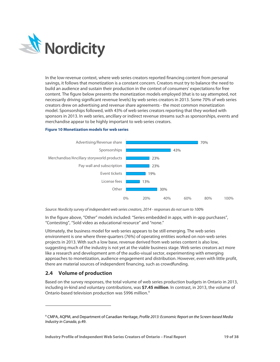

In the low-revenue context, where web series creators reported financing content from personal savings, it follows that monetization is a constant concern. Creators must try to balance the need to build an audience and sustain their production in the context of consumers' expectations for free content. The figure below presents the monetization models employed (that is to say attempted, not necessarily driving significant revenue levels) by web series creators in 2013. Some 70% of web series creators drew on advertising and revenue share agreements - the most common monetization model. Sponsorships followed, with 43% of web series creators reporting that they worked with sponsors in 2013. In web series, ancillary or indirect revenue streams such as sponsorships, events and merchandise appear to be highly important to web series creators.

### <span id="page-19-1"></span>**Figure 10 Monetization models for web series**



*Source: Nordicity survey of independent web series creators, 2014 - responses do not sum to 100%*

In the figure above, "Other" models included: "Series embedded in apps, with in-app purchases", "Contesting", "Sold video as educational resource" and "none."

Ultimately, the business model for web series appears to be still emerging. The web series environment is one where three-quarters (76%) of operating entities worked on non-web series projects in 2013. With such a low base, revenue derived from web series content is also low, suggesting much of the industry is not yet at the viable business stage. Web series creators act more like a research and development arm of the audio-visual sector, experimenting with emerging approaches to monetization, audience engagement and distribution. However, even with little profit, there are material sources of independent financing, such as crowdfunding.

# <span id="page-19-0"></span>**2.4 Volume of production**

 $\overline{\phantom{a}}$ 

Based on the survey responses, the total volume of web series production budgets in Ontario in 2013, including in-kind and voluntary contributions, was **\$7.45 million**. In contrast, in 2013, the volume of Ontario-based television production was \$996 million.[9](#page-19-2)

<span id="page-19-2"></span><sup>9</sup> CMPA, AQPM, and Department of Canadian Heritage, *Profile 2013: Economic Report on the Screen-based Media Industry in Canada*, p.49.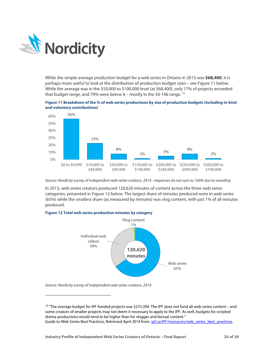

While the simple average production budget for a web series in Ontario in 2013 was **\$68,400**, it is perhaps more useful to look at the distribution of production budget sizes – see Figure 11 below. While the average was in the \$50,000 to \$100,000 level (at \$68,400), only 17% of projects exceeded that budget range, and 79% were below it – mostly in the \$0-10k range. [10](#page-20-2)

<span id="page-20-0"></span>



*Source: Nordicity survey of independent web series creators, 2014 - responses do not sum to 100% due to rounding*

In 2013, web series creators produced 120,620 minutes of content across the three web series categories, presented in Figure 12 below. The largest share of minutes produced were in web series (65%) while the smallest share (as measured by minutes) was vlog content, with just 1% of all minutes produced.

### <span id="page-20-1"></span>**Figure 12 Total web series production minutes by category**



*Source: Nordicity survey of independent web series creators, 2014*

 $\overline{\phantom{a}}$ 

<span id="page-20-2"></span><sup>&</sup>lt;sup>10</sup> "The average budget for IPF-funded projects was \$275,394. The IPF does not fund all web series content – and some creators of smaller projects may not deem it necessary to apply to the IPF. As well, budgets for scripted drama productions would tend to be higher than for vlogger and factual content." Guide to Web Series Best Practices, Retrieved April 2014 from: [ipf.ca/IPF/resources/web\\_series\\_best\\_practices.](http://ipf.ca/IPF/resources/web_series_best_practices)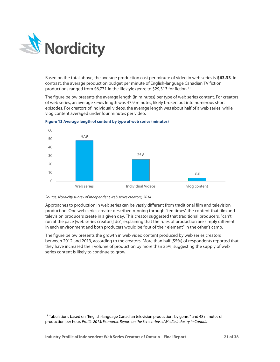

l

Based on the total above, the average production cost per minute of video in web series is **\$63.33**. In contrast, the average production budget per minute of English-language Canadian TV fiction productions ranged from \$6,771 in the lifestyle genre to \$29,313 for fiction.[11](#page-21-1)

The figure below presents the average length (in minutes) per type of web series content. For creators of web series, an average *series* length was 47.9 minutes, likely broken out into numerous short episodes. For creators of individual videos, the average length was about half of a web series, while vlog content averaged under four minutes per video.



<span id="page-21-0"></span>**Figure 13 Average length of content by type of web series (minutes)**

### *Source: Nordicity survey of independent web series creators, 2014*

Approaches to production in web series can be vastly different from traditional film and television production. One web series creator described running through "ten times" the content that film and television producers create in a given day. This creator suggested that traditional producers, "can't run at the pace [web series creators] do", explaining that the rules of production are simply different in each environment and both producers would be "out of their element" in the other's camp.

The figure below presents the growth in web video content produced by web series creators between 2012 and 2013, according to the creators. More than half (55%) of respondents reported that they have increased their volume of production by more than 25%, suggesting the supply of web series content is likely to continue to grow.

<span id="page-21-1"></span> $11$  Tabulations based on "English-language Canadian television production, by genre" and 48 minutes of production per hour. *Profile 2013: Economic Report on the Screen-based Media Industry in Canada*.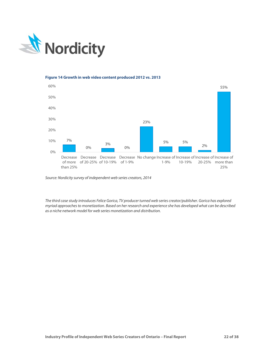

<span id="page-22-0"></span>

*Source: Nordicity survey of independent web series creators, 2014*

*The third case study introduces Felice Gorica, TV producer turned web series creator/publisher. Gorica has explored myriad approaches to monetization. Based on her research and experience she has developed what can be described as a niche network model for web series monetization and distribution.*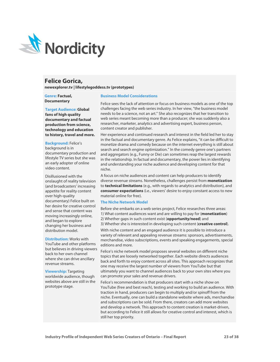

# **Felice Gorica,**

**newexplorer.tv | lifestylegoddess.tv (prototypes)**

### **Genre: Factual, Documentary**

### **Target Audience: Global fans of high quality documentary and factual production from science,**

# **technology and education to history, travel and more.**

### **Background:** Felice's

background is in documentary production and lifestyle TV series but she was an early adopter of online video content.

Disillusioned with the onslaught of reality television (and broadcasters' increasing appetite for reality content over high-quality documentary) Felice built on her desire for creative control and sense that content was moving increasingly online, and began to explore changing her business and distribution model.

**Distribution:** Works with YouTube and other platforms but believes in driving viewers back to her own channel where she can drive ancillary revenue streams.

**Viewership:** Targeting worldwide audience, though websites above are still in the prototype stage.

### **Business Model Considerations**

Felice sees the lack of attention or focus on business models as one of the top challenges facing the web series industry. In her view, "the business model needs to be a science, not an art." She also recognizes that her transition to web series meant becoming more than a producer; she was suddenly also a researcher, marketer, analytics and advertising expert, business person, content creator and publisher.

Her experience and continued research and interest in the field led her to stay in the factual and documentary genre. As Felice explains, "it can be difficult to monetize drama and comedy because on the internet everything is still about search and search engine optimization." In the comedy genre one's partners and aggregators (e.g., Funny or Die) can sometimes reap the largest rewards in the relationship. In factual and documentary, the power lies in identifying and understanding your niche audience and developing content for that niche.

A focus on niche audiences and content can help producers to identify diverse revenue streams. Nonetheless, challenges persist from **monetization** to **technical limitations** (e.g., with regards to analytics and distribution), and **consumer expectations** (i.e., viewers' desire to enjoy constant access to new material online for free).

### **The Niche Network Model**

Before she embarks on a web series project, Felice researches three areas: 1) What content audiences want and are willing to pay for (**monetization**) 2) Whether gaps in such content exist (**opportunity/need**) and

3) Whether she is interested in developing such content (**creative control**).

With niche content and an engaged audience it is possible to introduce a variety of relevant and appealing revenue streams: sponsors, advertisements, merchandise, video subscriptions, events and speaking engagements, special editions and more.

Felice's niche network model proposes several websites on different niche topics that are loosely networked together. Each website directs audiences back and forth to enjoy content across all sites. This approach recognizes that one may receive the largest number of viewers from YouTube but that ultimately you want to channel audiences back to your own sites where you can promote your sales and revenue drivers.

Felice's recommendation is that producers start with a niche show on YouTube (free and best reach), testing and working to build an audience. With traction in hand, producers can begin to multiply and/or spinoff from the niche. Eventually, one can build a standalone website where ads, merchandise and subscriptions can be sold. From there, creators can add more websites and develop a network. This approach to content creation is market-driven, but according to Felice it still allows for creative control and interest, which is still her top priority.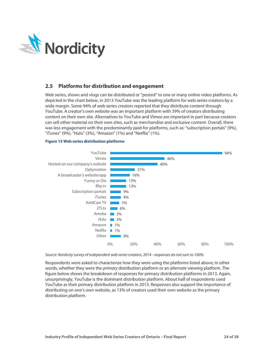

### <span id="page-24-0"></span>**2.5 Platforms for distribution and engagement**

Web series, shows and vlogs can be distributed or "posted" to one or many online video platforms. As depicted in the chart below, in 2013 YouTube was the leading platform for web series creators by a wide margin. Some 94% of web series creators reported that they distribute content through YouTube. A creator's own website was an important platform with 39% of creators distributing content on their own site. Alternatives to YouTube and Vimeo are important in part because creators can sell other material on their own sites, such as merchandise and exclusive content. Overall, there was less engagement with the predominantly paid-for platforms, such as: "subscription portals" (9%), "iTunes" (9%), "Hulu" (3%), "Amazon" (1%) and "Netflix" (1%).

### <span id="page-24-1"></span>**Figure 15 Web series distribution platforms**



### *Source: Nordicity survey of independent web series creators, 2014 - responses do not sum to 100%*

Respondents were asked to characterize *how* they were using the platforms listed above; in other words, whether they were the *primary* distribution platform or an *alternate* viewing platform. The figure below shows the breakdown of responses for primary distribution platforms in 2013. Again, unsurprisingly, YouTube is the dominant distribution platform. About half of respondents used YouTube as their primary distribution platform in 2013. Responses also support the importance of distributing on one's own website, as 13% of creators used their own website as the primary distribution platform.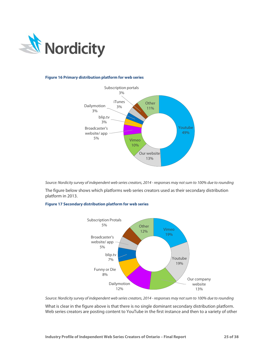

### <span id="page-25-0"></span>**Figure 16 Primary distribution platform for web series**



*Source: Nordicity survey of independent web series creators, 2014 - responses may not sum to 100% due to rounding*

The figure below shows which platforms web series creators used as their secondary distribution platform in 2013.

### <span id="page-25-1"></span>**Figure 17 Secondary distribution platform for web series**



*Source: Nordicity survey of independent web series creators, 2014 - responses may not sum to 100% due to rounding*

What is clear in the figure above is that there is no single dominant secondary distribution platform. Web series creators are posting content to YouTube in the first instance and then to a variety of other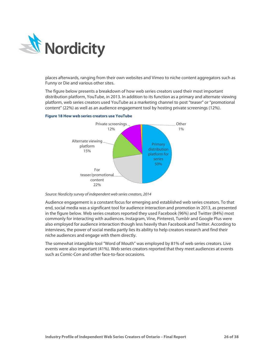

places afterwards, ranging from their own websites and Vimeo to niche content aggregators such as Funny or Die and various other sites.

The figure below presents a breakdown of how web series creators used their most important distribution platform, YouTube, in 2013. In addition to its function as a primary and alternate viewing platform, web series creators used YouTube as a marketing channel to post "teaser" or "promotional content" (22%) as well as an audience engagement tool by hosting private screenings (12%).

### <span id="page-26-0"></span>**Figure 18 How web series creators use YouTube**



### *Source: Nordicity survey of independent web series creators, 2014*

Audience engagement is a constant focus for emerging and established web series creators. To that end, social media was a significant tool for audience interaction and promotion in 2013, as presented in the figure below. Web series creators reported they used Facebook (96%) and Twitter (84%) most commonly for interacting with audiences. Instagram, Vine, Pinterest, Tumblr and Google Plus were also employed for audience interaction though less heavily than Facebook and Twitter. According to interviews, the power of social media partly lies its ability to help creators research and find their niche audiences and engage with them directly.

The somewhat intangible tool "Word of Mouth" was employed by 81% of web series creators. Live events were also important (41%). Web series creators reported that they meet audiences at events such as Comic-Con and other face-to-face occasions.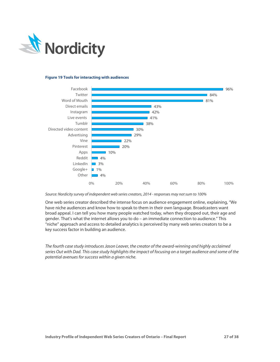

### <span id="page-27-0"></span>**Figure 19 Tools for interacting with audiences**



### *Source: Nordicity survey of independent web series creators, 2014 - responses may not sum to 100%*

One web series creator described the intense focus on audience engagement online, explaining, "We have niche audiences and know how to speak to them in their own language. Broadcasters want broad appeal. I can tell you how many people watched today, when they dropped out, their age and gender. That's what the internet allows you to do – an immediate connection to audience." This "niche" approach and access to detailed analytics is perceived by many web series creators to be a key success factor in building an audience.

*The fourth case study introduces Jason Leaver, the creator of the award-winning and highly acclaimed series Out with Dad. This case study highlights the impact of focusing on a target audience and some of the potential avenues for success within a given niche.*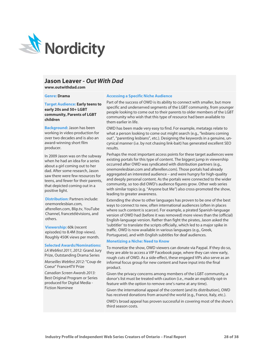

# **Jason Leaver -** *Out With Dad*

**www.outwithdad.com**

#### **Genre: Drama**

**Target Audience: Early teens to early 20s and 50+ LGBT community, Parents of LGBT children**

**Background:** Jason has been working in video production for over two decades and is also an award-winning short film producer.

In 2009 Jason was on the subway when he had an idea for a series about a girl coming out to her dad. After some research, Jason saw there were few resources for teens, and fewer for their parents, that depicted coming out in a positive light.

**Distribution: Partners include:** onemorelesbian.com, afterellen.com, Blip.tv, YouTube Channel, francetélévisions, and others.

**Viewership:** 60k (recent episodes) to 8.4M (top views). Roughly 450K views per month.

#### **Selected Awards/Nominations:**

*LA Webfest 2011, 2012:* Grand Jury Prize, Outstanding Drama Series *Marseilles Webfest 2012:* "Coup de Coeur" France4TV Prize *Canadian Screen Awards 2013:* 

Best Original Program or Series produced for Digital Media - Fiction Nominee

### **Accessing a Specific Niche Audience**

Part of the success of OWD is its ability to connect with smaller, but more specific and underserved segments of the LGBT community, from younger people looking to come out to their parents to older members of the LGBT community who wish that this type of resource had been available to them earlier in life.

OWD has been made very easy to find. For example, metatags relate to what a person looking to come out might search (e.g., "lesbians coming out", "parenting lesbians", etc.). Designing the keywords in a genuine, uncynical manner (i.e. by not chasing link-bait) has generated excellent SEO results.

Perhaps the most important access points for these target audiences were existing portals for this type of content. The biggest jump in viewership occurred after OWD was syndicated with distribution partners (e.g., onemorelesbian.com and afterellen.com). Those portals had already aggregated an interested audience – and were hungry for high-quality and deeply personal content. As the portals were connected to the wider community, so too did OWD's audience figures grow. Other web series with similar topics (e.g. "Anyone but Me") also cross-promoted the show, leading to greater awareness.

Extending the show to other languages has proven to be one of the best ways to connect to new, often international audiences (often in places where such content is scarcer). For example, a pirated Spanish-language version of OWD had (before it was removed) more views than the (official) English-language version. Rather than fight the pirates, Jason asked the 'subtitler' to translate the scripts officially, which led to a major spike in traffic. OWD is now available in various languages (e.g., Greek, Portuguese), and with English subtitles for deaf audiences.

### **Monetizing a Niche: Need to Know**

To monetize the show, OWD viewers can donate via Paypal. If they do so, they are able to access a VIP Facebook page, where they can view early, rough cuts of OWD. As a side-effect, these engaged VIPs also serve as an informal focus group for new content and have input into the final product.

Given the privacy concerns among members of the LGBT community, a donor's list must be treated with caution (i.e., made an explicitly opt-in feature with the option to remove one's name at any time).

Given the international appeal of the content (and its distribution), OWD has received donations from around the world (e.g., France, Italy, etc.).

OWD's broad appeal has proven successful in covering most of the show's third season costs.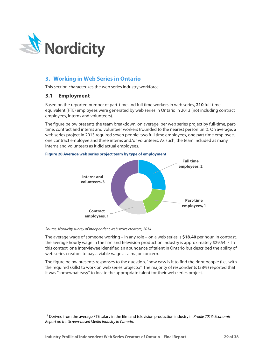

# <span id="page-29-0"></span>**3. Working in Web Series in Ontario**

This section characterizes the web series industry workforce.

### <span id="page-29-1"></span>**3.1 Employment**

l

Based on the reported number of part-time and full time workers in web series, **210** full-time equivalent (FTE) employees were generated by web series in Ontario in 2013 (not including contract employees, interns and volunteers).

The figure below presents the team breakdown, on average, per web series project by full-time, parttime, contract and interns and volunteer workers (rounded to the nearest person unit). On average, a web series project in 2013 required seven people: two full time employees, one part time employee, one contract employee and three interns and/or volunteers. As such, the team included as many interns and volunteers as it did actual employees.



### <span id="page-29-2"></span>**Figure 20 Average web series project team by type of employment**

*Source: Nordicity survey of independent web series creators, 2014*

The average wage of someone working – in any role – on a web series is **\$18.40** per hour. In contrast, the average hourly wage in the film and television production industry is approximately \$29.54.<sup>[12](#page-29-3)</sup> In this context, one interviewee identified an abundance of talent in Ontario but described the ability of web series creators to pay a viable wage as a major concern.

The figure below presents responses to the question, "how easy is it to find the right people (i.e., with the required skills) to work on web series projects?" The majority of respondents (38%) reported that it was "somewhat easy" to locate the appropriate talent for their web series project.

<span id="page-29-3"></span><sup>12</sup> Derived from the average FTE salary in the film and television production industry in *Profile 2013: Economic Report on the Screen-based Media Industry in Canada*.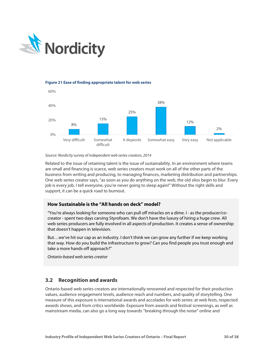

### <span id="page-30-1"></span>**Figure 21 Ease of finding appropriate talent for web series**



### *Source: Nordicity survey of independent web series creators, 2014*

Related to the issue of retaining talent is the issue of sustainability. In an environment where teams are small and financing is scarce, web series creators must work on all of the other parts of the business from writing and producing, to managing finances, marketing distribution and partnerships. One web series creator says, "as soon as you do anything on the web, the old silos begin to blur. Every job is every job. I tell everyone, you're never going to sleep again!" Without the right skills and support, it can be a quick road to burnout.

### **How Sustainable is the "All hands on deck" model?**

"You're always looking for someone who can pull off miracles on a dime. I - as the producer/cocreator - spent two days carving Styrofoam. We don't have the luxury of hiring a huge crew. All web series producers are fully involved in all aspects of production. It creates a sense of ownership that doesn't happen in television.

But…we've hit our cap as an industry. I don't think we can grow any further if we keep working that way. How do you build the infrastructure to grow? Can you find people you trust enough and take a more hands-off approach?"

*Ontario-based web series creator*

# <span id="page-30-0"></span>**3.2 Recognition and awards**

Ontario-based web series creators are internationally renowned and respected for their production values, audience engagement levels, audience reach and numbers, and quality of storytelling. One measure of this exposure is international awards and accolades for web series: at web fests, respected awards shows, and from critics worldwide. Exposure from awards and festival screenings, as well as mainstream media, can also go a long way towards "breaking through the noise" online and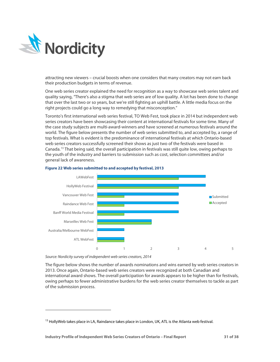

attracting new viewers – crucial boosts when one considers that many creators may not earn back their production budgets in terms of revenue.

One web series creator explained the need for recognition as a way to showcase web series talent and quality saying, "There's also a stigma that web series are of low quality. A lot has been done to change that over the last two or so years, but we're still fighting an uphill battle. A little media focus on the right projects could go a long way to remedying that misconception."

Toronto's first international web series festival, TO Web Fest, took place in 2014 but independent web series creators have been showcasing their content at international festivals for some time. Many of the case study subjects are multi-award-winners and have screened at numerous festivals around the world. The figure below presents the number of web series submitted to, and accepted by, a range of top festivals. What is evident is the predominance of international festivals at which Ontario-based web series creators successfully screened their shows as just two of the festivals were based in Canada.[13](#page-31-1) That being said, the overall participation in festivals was still quite low, owing perhaps to the youth of the industry and barriers to submission such as cost, selection committees and/or general lack of awareness.



### <span id="page-31-0"></span>**Figure 22 Web series submitted to and accepted by festival, 2013**

*Source: Nordicity survey of independent web series creators, 2014*

l

The figure below shows the number of awards nominations and wins earned by web series creators in 2013. Once again, Ontario-based web series creators were recognized at both Canadian and international award shows. The overall participation for awards appears to be higher than for festivals, owing perhaps to fewer administrative burdens for the web series creator themselves to tackle as part of the submission process.

<span id="page-31-1"></span><sup>&</sup>lt;sup>13</sup> HollyWeb takes place in LA, Raindance takes place in London, UK, ATL is the Atlanta web festival.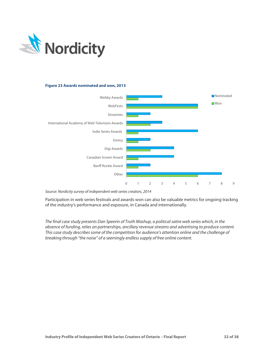

### <span id="page-32-0"></span>**Figure 23 Awards nominated and won, 2013**



*Source: Nordicity survey of independent web series creators, 2014*

Participation in web series festivals and awards won can also be valuable metrics for ongoing tracking of the industry's performance and exposure, in Canada and internationally.

*The final case study presents Dan Speerin of Truth Mashup, a political satire web series which, in the absence of funding, relies on partnerships, ancillary revenue streams and advertising to produce content. This case study describes some of the competition for audience's attention online and the challenge of breaking through "the noise" of a seemingly endless supply of free online content.*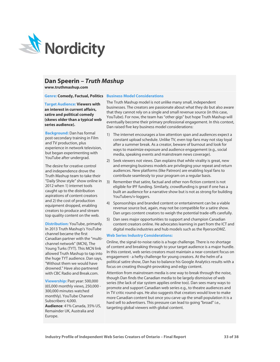

# **Dan Speerin –** *Truth Mashup*

**www.truthmashup.com**

### **Genre: Comedy, Factual, Politics Business Model Considerations**

**Target Audience: Viewers with an interest in current affairs, satire and political comedy (skews older than a typical web series audience).**

**Background:** Dan has formal post-secondary training in Film and TV production, plus experience in network television, but began experimenting with YouTube after undergrad.

The desire for creative control and independence drove the Truth Mashup team to take their "Daily Show style" show online in 2012 when 1) internet tools caught up to the distribution aspirations of content creators and 2) the cost of production equipment dropped, enabling creators to produce and stream top quality content on the web.

**Distribution:** YouTube, primarily. In 2013 Truth Mashup's YouTube channel became the first Canadian partner with the "multichannel network" (MCN), The Young Turks (TYT). This MCN link allowed Truth Mashup to tap into the huge TYT audience. Dan says, "Without them we would have drowned." Have also partnered with CBC Radio and Break.com.

**Viewership: Past year: 500,000** (65,000 monthly views, 250,000 - 300,000 minutes watched monthly). YouTube Channel Subscribers: 4,000. **Audience**: 41% Canada, 35% US, Remainder UK, Australia and Europe.

The Truth Mashup model is not unlike many small, independent businesses. The creators are passionate about what they do but also aware that they cannot rely on a single and small revenue source (in this case, YouTube). For now, the team has "other gigs" but hope Truth Mashup will eventually become their primary professional engagement. In this context,

Dan raised five key business model considerations:

- 1) The internet encourages a low attention span and audiences expect a constant upload schedule. Unlike TV, even top fans may not stay loyal after a summer break. As a creator, beware of burnout and look for ways to maximize exposure and audience engagement (e.g., social media, speaking events and mainstream news coverage).
- 2) Seek viewers not views. Dan explains that while virality is great, new and emerging business models are privileging your repeat and return audiences. New platforms (like Patreon) are enabling loyal fans to contribute seamlessly to your program on a regular basis.
- 3) Remember that satire, factual and other non-fiction content is not eligible for IPF funding. Similarly, crowdfunding is great if one has a built an audience for a narrative show but is not as strong for building YouTubers/v-loggers.
- 4) Sponsorships and branded content or entertainment can be a viable revenue source but, again, may not be compatible for a satire show. Dan urges content creators to weigh the potential trade-offs carefully.
- 5) Dan sees major opportunities to support and champion Canadian content creators online. He advocates learning in part from the ICT and digital media industries and hub models such as the RyersonDMZ.

### **Web Series Industry Considerations:**

Online, the signal-to-noise ratio is a huge challenge. There is no shortage of content and breaking through to your target audience is a major hurdle. In this context, web series creators must maintain a near-constant focus on engagement - a hefty challenge for young creators. At the helm of a political satire show, Dan has to balance his Google Analytics results with a focus on creating thought-provoking and edgy content.

Attention from mainstream media is one way to break through the noise, though Dan finds the Canadian media to be largely dismissive of web series (the lack of star system applies online too). Dan sees many ways to promote and support Canadian web series e.g., to theatre audiences and in TV critic round-ups. He also suggests that creators would love to make more Canadian content but once you carve up the small population it is a hard sell to advertisers. This pressure can lead to going "broad" i.e., targeting global viewers with global content.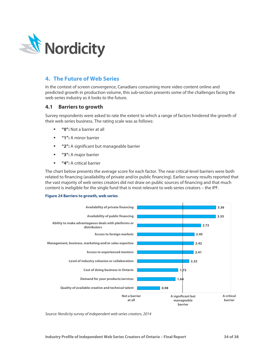

# <span id="page-34-0"></span>**4. The Future of Web Series**

In the context of screen convergence, Canadians consuming more video content online and predicted growth in production volume, this sub-section presents some of the challenges facing the web series industry as it looks to the future.

### <span id="page-34-1"></span>**4.1 Barriers to growth**

Survey respondents were asked to rate the extent to which a range of factors hindered the growth of their web series business. The rating scale was as follows:

- **"0":** Not a barrier at all
- **"1":** A minor barrier
- **"2":** A significant but manageable barrier
- **"3":** A major barrier
- **"4":** A critical barrier

The chart below presents the average score for each factor. The near critical-level barriers were both related to financing (availability of private and/or public financing). Earlier survey results reported that the vast majority of web series creators did not draw on public sources of financing and that much content is ineligible for the single fund that is most relevant to web series creators – the IPF.

### <span id="page-34-2"></span>**Figure 24 Barriers to growth, web series**



*Source: Nordicity survey of independent web series creators, 2014*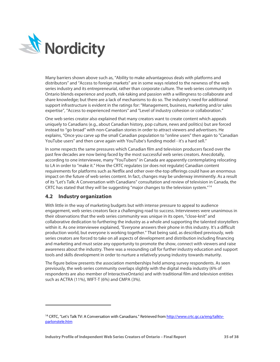

Many barriers shown above such as, "Ability to make advantageous deals with platforms and distributors" and "Access to foreign markets" are in some ways related to the newness of the web series industry and its entrepreneurial, rather than corporate culture. The web series community in Ontario blends experience and youth, risk-taking and passion with a willingness to collaborate and share knowledge; but there are a lack of mechanisms to do so. The industry's need for additional support infrastructure is evident in the ratings for: "Management, business, marketing and/or sales expertise", "Access to experienced mentors" and "Level of industry cohesion or collaboration."

One web series creator also explained that many creators want to create content which appeals uniquely to Canadians (e.g., about Canadian history, pop culture, news and politics) but are forced instead to "go broad" with non-Canadian stories in order to attract viewers and advertisers. He explains, "Once you carve up the small Canadian population to "online users" then again to "Canadian YouTube users" and then carve again with YouTube's funding model - it's a hard sell."

In some respects the same pressures which Canadian film and television producers faced over the past few decades are now being faced by the most successful web series creators. Anecdotally, according to one interviewee, many "YouTubers" in Canada are apparently contemplating relocating to LA in order to "make it." How the CRTC regulates (or does not regulate) Canadian content requirements for platforms such as Netflix and other over-the-top offerings could have an enormous impact on the future of web series content. In fact, changes may be underway imminently. As a result of its "Let's Talk: A Conversation with Canadians" consultation and review of television in Canada, the CRTC has stated that they will be suggesting "major changes to the television system."[14](#page-35-1)

# <span id="page-35-0"></span>**4.2 Industry organization**

l

With little in the way of marketing budgets but with intense pressure to appeal to audience engagement, web series creators face a challenging road to success. Interviewees were unanimous in their observations that the web series community was unique in its open, "close-knit" and collaborative dedication to furthering the industry as a whole and supporting the talented storytellers within it. As one interviewee explained, "Everyone answers their phone in this industry. It's a difficult production world, but everyone is working together." That being said, as described previously, web series creators are forced to take on all aspects of development and distribution including financing and marketing and must seize any opportunity to promote the show, connect with viewers and raise awareness about the industry. There was a resounding call for further industry education and support tools and skills development in order to nurture a relatively young industry towards maturity.

The figure below presents the association memberships held among survey respondents. As seen previously, the web series community overlaps slightly with the digital media industry (6% of respondents are also member of InteractiveOntario) and with traditional film and television entities such as ACTRA (11%), WIFT-T (6%) and CMPA (3%).

<span id="page-35-1"></span><sup>&</sup>lt;sup>14</sup> CRTC, "Let's Talk TV: A Conversation with Canadians." Retrieved fro[m http://www.crtc.gc.ca/eng/talktv](http://www.crtc.gc.ca/eng/talktv-parlonstele.htm)[parlonstele.htm](http://www.crtc.gc.ca/eng/talktv-parlonstele.htm)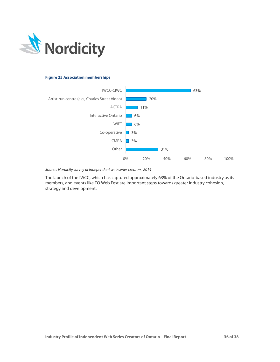

### <span id="page-36-1"></span>**Figure 25 Association memberships**



*Source: Nordicity survey of independent web series creators, 2014*

<span id="page-36-0"></span>The launch of the IWCC, which has captured approximately 63% of the Ontario-based industry as its members, and events like TO Web Fest are important steps towards greater industry cohesion, strategy and development.